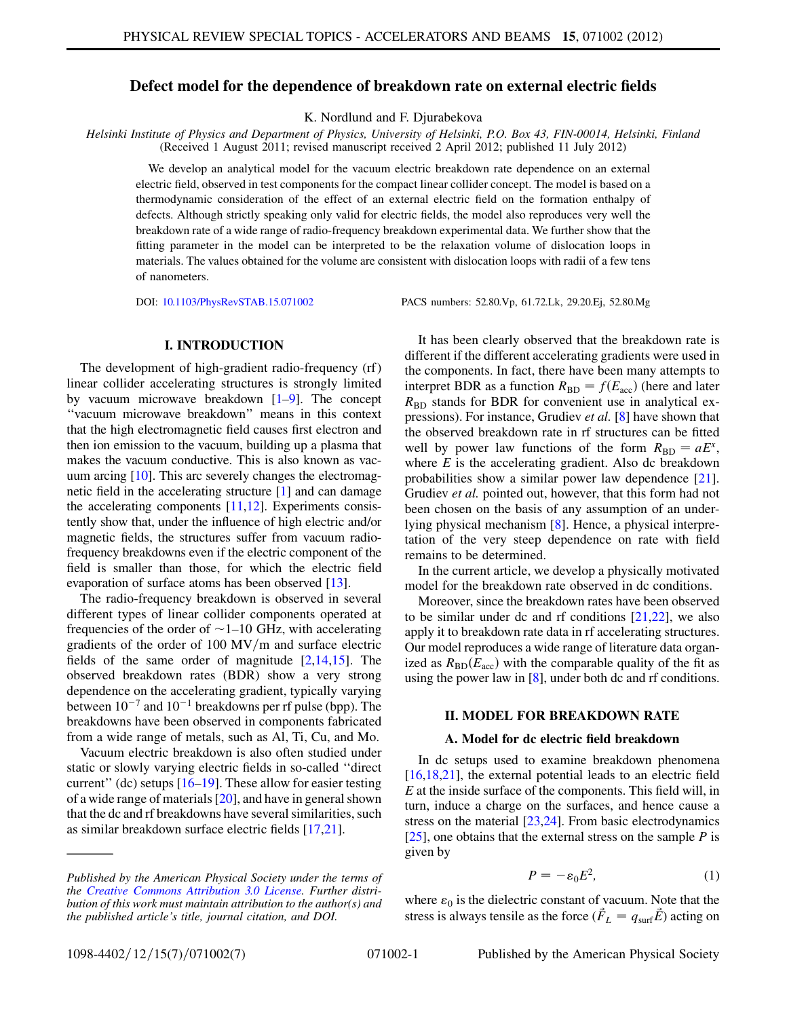# Defect model for the dependence of breakdown rate on external electric fields

K. Nordlund and F. Djurabekova

Helsinki Institute of Physics and Department of Physics, University of Helsinki, P.O. Box 43, FIN-00014, Helsinki, Finland (Received 1 August 2011; revised manuscript received 2 April 2012; published 11 July 2012)

We develop an analytical model for the vacuum electric breakdown rate dependence on an external electric field, observed in test components for the compact linear collider concept. The model is based on a thermodynamic consideration of the effect of an external electric field on the formation enthalpy of defects. Although strictly speaking only valid for electric fields, the model also reproduces very well the breakdown rate of a wide range of radio-frequency breakdown experimental data. We further show that the fitting parameter in the model can be interpreted to be the relaxation volume of dislocation loops in materials. The values obtained for the volume are consistent with dislocation loops with radii of a few tens of nanometers.

DOI: [10.1103/PhysRevSTAB.15.071002](http://dx.doi.org/10.1103/PhysRevSTAB.15.071002) PACS numbers: 52.80.Vp, 61.72.Lk, 29.20.Ej, 52.80.Mg

## I. INTRODUCTION

The development of high-gradient radio-frequency (rf) linear collider accelerating structures is strongly limited by vacuum microwave breakdown [[1–](#page-5-0)[9](#page-5-1)]. The concept ''vacuum microwave breakdown'' means in this context that the high electromagnetic field causes first electron and then ion emission to the vacuum, building up a plasma that makes the vacuum conductive. This is also known as vacuum arcing [[10](#page-5-2)]. This arc severely changes the electromagnetic field in the accelerating structure [\[1](#page-5-0)] and can damage the accelerating components [\[11](#page-5-3)[,12](#page-6-0)]. Experiments consistently show that, under the influence of high electric and/or magnetic fields, the structures suffer from vacuum radiofrequency breakdowns even if the electric component of the field is smaller than those, for which the electric field evaporation of surface atoms has been observed [\[13](#page-6-1)].

The radio-frequency breakdown is observed in several different types of linear collider components operated at frequencies of the order of  $\sim$  1–10 GHz, with accelerating gradients of the order of  $100 \text{ MV/m}$  and surface electric fields of the same order of magnitude [\[2,](#page-5-4)[14,](#page-6-2)[15\]](#page-6-3). The observed breakdown rates (BDR) show a very strong dependence on the accelerating gradient, typically varying between  $10^{-7}$  and  $10^{-1}$  breakdowns per rf pulse (bpp). The<br>breakdowns have been observed in components fabricated breakdowns have been observed in components fabricated from a wide range of metals, such as Al, Ti, Cu, and Mo.

Vacuum electric breakdown is also often studied under static or slowly varying electric fields in so-called ''direct current'' (dc) setups [[16](#page-6-4)–[19](#page-6-5)]. These allow for easier testing of a wide range of materials [[20](#page-6-6)], and have in general shown that the dc and rf breakdowns have several similarities, such as similar breakdown surface electric fields [\[17,](#page-6-7)[21\]](#page-6-8).

It has been clearly observed that the breakdown rate is different if the different accelerating gradients were used in the components. In fact, there have been many attempts to interpret BDR as a function  $R_{BD} = f(E_{acc})$  (here and later  $R_{\text{BD}}$  stands for BDR for convenient use in analytical ex-pressions). For instance, Grudiev et al. [[8\]](#page-5-5) have shown that the observed breakdown rate in rf structures can be fitted well by power law functions of the form  $R_{BD} = aE^x$ , where  $E$  is the accelerating gradient. Also dc breakdown probabilities show a similar power law dependence [[21\]](#page-6-8). Grudiev et al. pointed out, however, that this form had not been chosen on the basis of any assumption of an underlying physical mechanism [[8\]](#page-5-5). Hence, a physical interpretation of the very steep dependence on rate with field remains to be determined.

In the current article, we develop a physically motivated model for the breakdown rate observed in dc conditions.

Moreover, since the breakdown rates have been observed to be similar under dc and rf conditions [\[21,](#page-6-8)[22\]](#page-6-9), we also apply it to breakdown rate data in rf accelerating structures. Our model reproduces a wide range of literature data organized as  $R_{BD}(E_{acc})$  with the comparable quality of the fit as using the power law in [[8\]](#page-5-5), under both dc and rf conditions.

## II. MODEL FOR BREAKDOWN RATE

### A. Model for dc electric field breakdown

In dc setups used to examine breakdown phenomena [\[16](#page-6-4)[,18,](#page-6-10)[21\]](#page-6-8), the external potential leads to an electric field  $E$  at the inside surface of the components. This field will, in turn, induce a charge on the surfaces, and hence cause a stress on the material [\[23,](#page-6-11)[24](#page-6-12)]. From basic electrodynamics [\[25\]](#page-6-13), one obtains that the external stress on the sample  $P$  is given by

$$
P = -\varepsilon_0 E^2,\tag{1}
$$

<span id="page-0-0"></span>where  $\varepsilon_0$  is the dielectric constant of vacuum. Note that the stress is always tensile as the force  $(\vec{F}_L = q_{\text{surf}}\vec{E})$  acting on

Published by the American Physical Society under the terms of the [Creative Commons Attribution 3.0 License.](http://creativecommons.org/licenses/by/3.0/) Further distribution of this work must maintain attribution to the author(s) and the published article's title, journal citation, and DOI.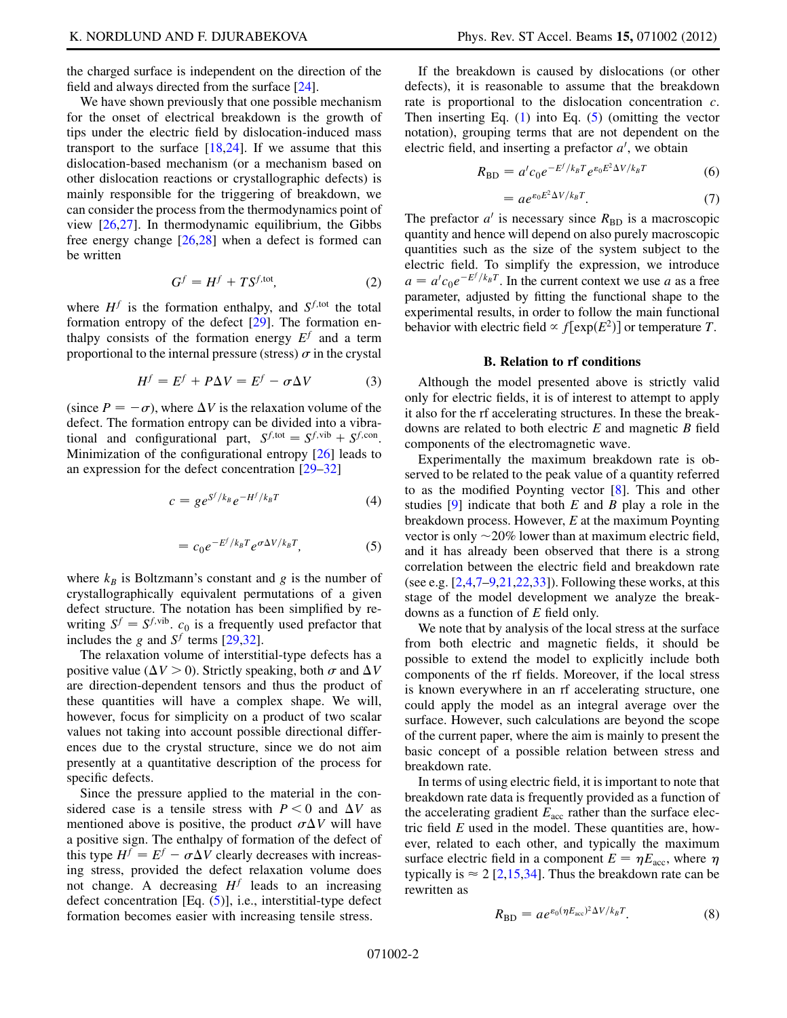the charged surface is independent on the direction of the field and always directed from the surface [\[24](#page-6-12)].

We have shown previously that one possible mechanism for the onset of electrical breakdown is the growth of tips under the electric field by dislocation-induced mass transport to the surface  $[18,24]$  $[18,24]$  $[18,24]$  $[18,24]$  $[18,24]$ . If we assume that this dislocation-based mechanism (or a mechanism based on other dislocation reactions or crystallographic defects) is mainly responsible for the triggering of breakdown, we can consider the process from the thermodynamics point of view [\[26,](#page-6-14)[27\]](#page-6-15). In thermodynamic equilibrium, the Gibbs free energy change [[26](#page-6-14),[28](#page-6-16)] when a defect is formed can be written

$$
G^f = H^f + TS^{f,\text{tot}},\tag{2}
$$

where  $H<sup>f</sup>$  is the formation enthalpy, and  $S<sup>f,tot</sup>$  the total formation entropy of the defect [[29](#page-6-17)]. The formation enthalpy consists of the formation energy  $E<sup>f</sup>$  and a term proportional to the internal pressure (stress)  $\sigma$  in the crystal

$$
H^f = E^f + P\Delta V = E^f - \sigma \Delta V \tag{3}
$$

<span id="page-1-0"></span>(since  $P = -\sigma$ ), where  $\Delta V$  is the relaxation volume of the defect. The formation entropy can be divided into a vibradefect. The formation entropy can be divided into a vibrational and configurational part,  $S^{f, \text{tot}} = S^{f, \text{vib}} + S^{f, \text{con}}$ . Minimization of the configurational entropy [[26](#page-6-14)] leads to an expression for the defect concentration [\[29–](#page-6-17)[32](#page-6-18)]

$$
c = g e^{S^f/k_B} e^{-H^f/k_B T}
$$
 (4)

$$
= c_0 e^{-E^f/k_B T} e^{\sigma \Delta V/k_B T}, \tag{5}
$$

<span id="page-1-4"></span>where  $k_B$  is Boltzmann's constant and g is the number of crystallographically equivalent permutations of a given defect structure. The notation has been simplified by rewriting  $S^f = S^{f,\text{vib}}$ .  $c_0$  is a frequently used prefactor that includes the g and  $S^f$  terms [[29](#page-6-17)[,32](#page-6-18)].

The relaxation volume of interstitial-type defects has a positive value ( $\Delta V > 0$ ). Strictly speaking, both  $\sigma$  and  $\Delta V$ are direction-dependent tensors and thus the product of these quantities will have a complex shape. We will, however, focus for simplicity on a product of two scalar values not taking into account possible directional differences due to the crystal structure, since we do not aim presently at a quantitative description of the process for specific defects.

Since the pressure applied to the material in the considered case is a tensile stress with  $P \le 0$  and  $\Delta V$  as mentioned above is positive, the product  $\sigma \Delta V$  will have a positive sign. The enthalpy of formation of the defect of this type  $H^f = E^f - \sigma \Delta V$  clearly decreases with increas-<br>ing stress, provided the defect relaxation volume does ing stress, provided the defect relaxation volume does not change. A decreasing  $H<sup>f</sup>$  leads to an increasing defect concentration [Eq. [\(5\)](#page-1-0)], i.e., interstitial-type defect formation becomes easier with increasing tensile stress.

If the breakdown is caused by dislocations (or other defects), it is reasonable to assume that the breakdown rate is proportional to the dislocation concentration  $c$ . Then inserting Eq.  $(1)$  $(1)$  into Eq.  $(5)$  $(5)$  (omitting the vector notation), grouping terms that are not dependent on the electric field, and inserting a prefactor  $a'$ , we obtain

$$
R_{\rm BD} = a' c_0 e^{-E^f/k_B T} e^{\varepsilon_0 E^2 \Delta V/k_B T}
$$
 (6)

$$
=ae^{\varepsilon_0 E^2\Delta V/k_B T}.\t(7)
$$

<span id="page-1-3"></span><span id="page-1-1"></span>The prefactor  $a'$  is necessary since  $R_{BD}$  is a macroscopic quantity and hence will depend on also purely macroscopic quantities such as the size of the system subject to the electric field. To simplify the expression, we introduce  $a = a' c_0 e^{-E'/k_B T}$ . In the current context we use a as a free<br>parameter, adjusted by fitting the functional shape to the parameter, adjusted by fitting the functional shape to the experimental results, in order to follow the main functional behavior with electric field  $\propto f[\exp(E^2)]$  or temperature T.

### B. Relation to rf conditions

Although the model presented above is strictly valid only for electric fields, it is of interest to attempt to apply it also for the rf accelerating structures. In these the breakdowns are related to both electric  $E$  and magnetic  $B$  field components of the electromagnetic wave.

Experimentally the maximum breakdown rate is observed to be related to the peak value of a quantity referred to as the modified Poynting vector [[8\]](#page-5-5). This and other studies  $[9]$  indicate that both E and B play a role in the breakdown process. However, E at the maximum Poynting vector is only  $\sim$  20% lower than at maximum electric field, and it has already been observed that there is a strong correlation between the electric field and breakdown rate (see e.g.  $[2,4,7-9,21,22,33]$  $[2,4,7-9,21,22,33]$  $[2,4,7-9,21,22,33]$  $[2,4,7-9,21,22,33]$  $[2,4,7-9,21,22,33]$  $[2,4,7-9,21,22,33]$  $[2,4,7-9,21,22,33]$  $[2,4,7-9,21,22,33]$  $[2,4,7-9,21,22,33]$  $[2,4,7-9,21,22,33]$  $[2,4,7-9,21,22,33]$ ). Following these works, at this stage of the model development we analyze the breakdowns as a function of E field only.

We note that by analysis of the local stress at the surface from both electric and magnetic fields, it should be possible to extend the model to explicitly include both components of the rf fields. Moreover, if the local stress is known everywhere in an rf accelerating structure, one could apply the model as an integral average over the surface. However, such calculations are beyond the scope of the current paper, where the aim is mainly to present the basic concept of a possible relation between stress and breakdown rate.

In terms of using electric field, it is important to note that breakdown rate data is frequently provided as a function of the accelerating gradient  $E_{\text{acc}}$  rather than the surface electric field  $E$  used in the model. These quantities are, however, related to each other, and typically the maximum surface electric field in a component  $E = \eta E_{\text{acc}}$ , where  $\eta$ <br>typically is  $\approx 2.12, 15, 341$ . Thus the breakdown rate can be typically is  $\approx 2$  $\approx 2$  [2,[15](#page-6-3),[34](#page-6-20)]. Thus the breakdown rate can be rewritten as

<span id="page-1-2"></span>
$$
R_{\rm BD} = a e^{\varepsilon_0 (\eta E_{\rm acc})^2 \Delta V / k_B T}.
$$
 (8)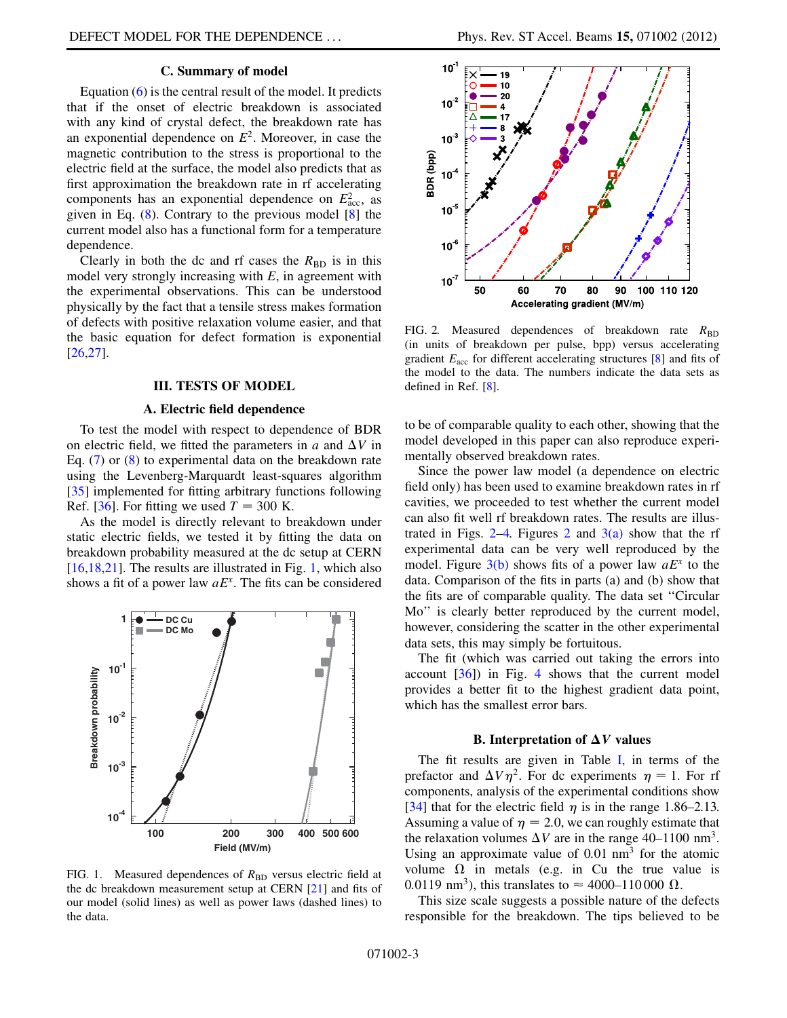### C. Summary of model

Equation [\(6](#page-1-1)) is the central result of the model. It predicts that if the onset of electric breakdown is associated with any kind of crystal defect, the breakdown rate has an exponential dependence on  $E^2$ . Moreover, in case the magnetic contribution to the stress is proportional to the electric field at the surface, the model also predicts that as first approximation the breakdown rate in rf accelerating components has an exponential dependence on  $E_{\text{acc}}^2$ , as<br>given in Eq. (8) Contrary to the previous model [8] the given in Eq. ([8\)](#page-1-2). Contrary to the previous model [[8\]](#page-5-5) the current model also has a functional form for a temperature dependence.

Clearly in both the dc and rf cases the  $R_{BD}$  is in this model very strongly increasing with  $E$ , in agreement with the experimental observations. This can be understood physically by the fact that a tensile stress makes formation of defects with positive relaxation volume easier, and that the basic equation for defect formation is exponential [\[26](#page-6-14)[,27\]](#page-6-15).

## III. TESTS OF MODEL

### A. Electric field dependence

To test the model with respect to dependence of BDR on electric field, we fitted the parameters in  $a$  and  $\Delta V$  in Eq. ([7](#page-1-3)) or [\(8](#page-1-2)) to experimental data on the breakdown rate using the Levenberg-Marquardt least-squares algorithm [\[35\]](#page-6-21) implemented for fitting arbitrary functions following Ref. [\[36\]](#page-6-22). For fitting we used  $T = 300$  K.

As the model is directly relevant to breakdown under static electric fields, we tested it by fitting the data on breakdown probability measured at the dc setup at CERN [\[16](#page-6-4)[,18,](#page-6-10)[21](#page-6-8)]. The results are illustrated in Fig. [1](#page-2-0), which also shows a fit of a power law  $aE<sup>x</sup>$ . The fits can be considered

<span id="page-2-0"></span>

FIG. 1. Measured dependences of  $R_{\text{BD}}$  versus electric field at the dc breakdown measurement setup at CERN [[21](#page-6-8)] and fits of our model (solid lines) as well as power laws (dashed lines) to the data.

<span id="page-2-1"></span>

FIG. 2. Measured dependences of breakdown rate  $R_{\text{BD}}$ (in units of breakdown per pulse, bpp) versus accelerating gradient  $E_{\text{acc}}$  for different accelerating structures [[8\]](#page-5-5) and fits of the model to the data. The numbers indicate the data sets as defined in Ref. [[8](#page-5-5)].

to be of comparable quality to each other, showing that the model developed in this paper can also reproduce experimentally observed breakdown rates.

Since the power law model (a dependence on electric field only) has been used to examine breakdown rates in rf cavities, we proceeded to test whether the current model can also fit well rf breakdown rates. The results are illus-trated in Figs. [2](#page-2-1)[–4.](#page-3-0) Figures 2 and  $3(a)$  show that the rf experimental data can be very well reproduced by the model. Figure  $3(b)$  shows fits of a power law  $aE<sup>x</sup>$  to the data. Comparison of the fits in parts (a) and (b) show that the fits are of comparable quality. The data set ''Circular Mo'' is clearly better reproduced by the current model, however, considering the scatter in the other experimental data sets, this may simply be fortuitous.

The fit (which was carried out taking the errors into account  $[36]$  $[36]$  $[36]$  in Fig. [4](#page-3-0) shows that the current model provides a better fit to the highest gradient data point, which has the smallest error bars.

#### B. Interpretation of  $\Delta V$  values

The fit results are given in Table [I,](#page-3-2) in terms of the prefactor and  $\Delta V \eta^2$ . For dc experiments  $\eta = 1$ . For rf components, analysis of the experimental conditions show [\[34\]](#page-6-20) that for the electric field  $\eta$  is in the range 1.86–2.13. Assuming a value of  $\eta = 2.0$ , we can roughly estimate that the relaxation volumes  $\Delta V$  are in the range 40–1100 nm<sup>3</sup> the relaxation volumes  $\Delta V$  are in the range 40–1100 nm<sup>3</sup>. Using an approximate value of  $0.01 \text{ nm}^3$  for the atomic volume  $\Omega$  in metals (e.g. in Cu the true value is 0.0119 nm<sup>3</sup>) this translates to  $\approx 4000-110000$  O 0.0119 nm<sup>3</sup>), this translates to  $\approx 4000-110000 \Omega$ .<br>This size scale suggests a possible nature of the

This size scale suggests a possible nature of the defects responsible for the breakdown. The tips believed to be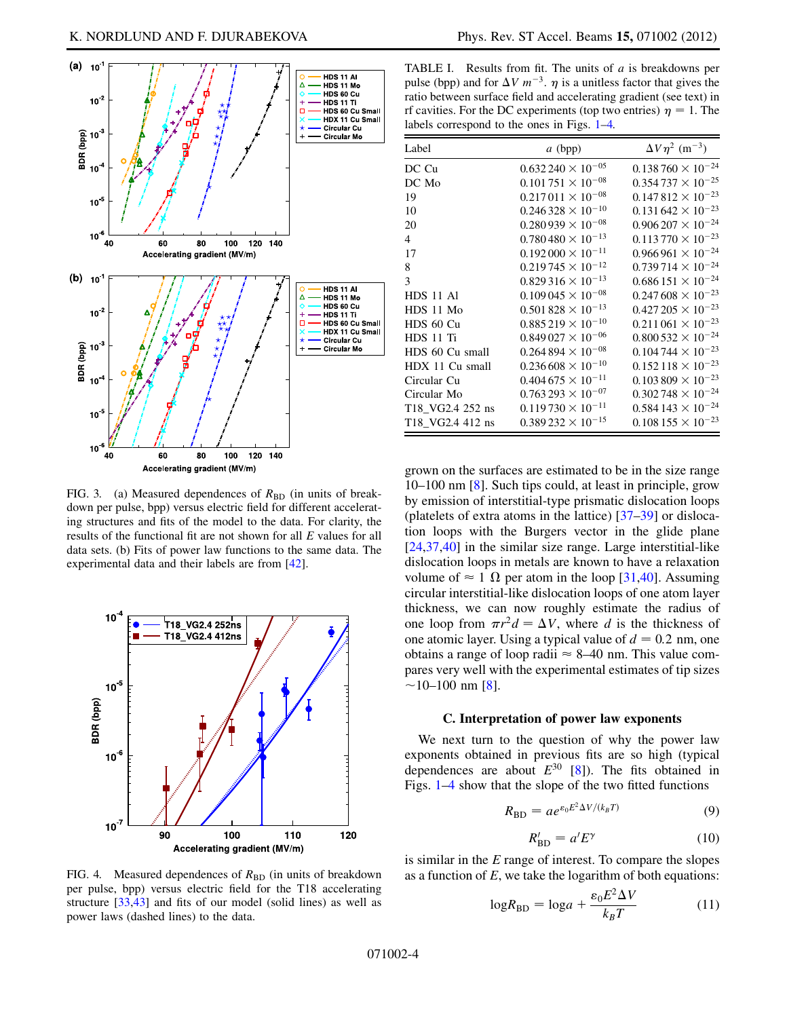<span id="page-3-3"></span>

<span id="page-3-1"></span>FIG. 3. (a) Measured dependences of  $R_{BD}$  (in units of breakdown per pulse, bpp) versus electric field for different accelerating structures and fits of the model to the data. For clarity, the results of the functional fit are not shown for all E values for all data sets. (b) Fits of power law functions to the same data. The experimental data and their labels are from [\[42\]](#page-6-28).

<span id="page-3-0"></span>

<span id="page-3-2"></span>TABLE I. Results from fit. The units of  $a$  is breakdowns per pulse (bpp) and for  $\Delta V$   $m^{-3}$ .  $\eta$  is a unitless factor that gives the ratio between surface field and accelerating gradient (see text) in ratio between surface field and accelerating gradient (see text) in rf cavities. For the DC experiments (top two entries)  $\eta = 1$ . The labels correspond to the ones in Figs. 1–4. labels correspond to the ones in Figs. [1–](#page-2-0)[4.](#page-3-0)

| Label            | $a$ (bpp)                  | $\Delta V \eta^2$ (m <sup>-3</sup> ) |
|------------------|----------------------------|--------------------------------------|
| DC Cu            | $0.632\,240\times10^{-05}$ | $0.138760 \times 10^{-24}$           |
| DC Mo            | $0.101751 \times 10^{-08}$ | $0.354737 \times 10^{-25}$           |
| 19               | $0.217011 \times 10^{-08}$ | $0.147812 \times 10^{-23}$           |
| 10               | $0.246328 \times 10^{-10}$ | $0.131642 \times 10^{-23}$           |
| 20               | $0.280939 \times 10^{-08}$ | $0.906207 \times 10^{-24}$           |
| 4                | $0.780480 \times 10^{-13}$ | $0.113770 \times 10^{-23}$           |
| 17               | $0.192000 \times 10^{-11}$ | $0.966961 \times 10^{-24}$           |
| 8                | $0.219745 \times 10^{-12}$ | $0.739714 \times 10^{-24}$           |
| 3                | $0.829316 \times 10^{-13}$ | $0.686151 \times 10^{-24}$           |
| HDS 11 Al        | $0.109\,045\times10^{-08}$ | $0.247608 \times 10^{-23}$           |
| HDS 11 Mo        | $0.501828 \times 10^{-13}$ | $0.427205 \times 10^{-23}$           |
| HDS 60 Cu        | $0.885219 \times 10^{-10}$ | $0.211\,061\times10^{-23}$           |
| HDS 11 Ti        | $0.849\,027\times10^{-06}$ | $0.800532 \times 10^{-24}$           |
| HDS 60 Cu small  | $0.264894 \times 10^{-08}$ | $0.104744 \times 10^{-23}$           |
| HDX 11 Cu small  | $0.236608 \times 10^{-10}$ | $0.152118 \times 10^{-23}$           |
| Circular Cu      | $0.404675 \times 10^{-11}$ | $0.103809 \times 10^{-23}$           |
| Circular Mo      | $0.763293 \times 10^{-07}$ | $0.302748 \times 10^{-24}$           |
| T18 VG2.4 252 ns | $0.119730 \times 10^{-11}$ | $0.584143 \times 10^{-24}$           |
| T18 VG2.4 412 ns | $0.389232 \times 10^{-15}$ | $0.108155 \times 10^{-23}$           |

grown on the surfaces are estimated to be in the size range 10–100 nm [[8\]](#page-5-5). Such tips could, at least in principle, grow by emission of interstitial-type prismatic dislocation loops (platelets of extra atoms in the lattice) [[37](#page-6-23)[–39\]](#page-6-24) or dislocation loops with the Burgers vector in the glide plane [\[24](#page-6-12)[,37,](#page-6-23)[40](#page-6-25)] in the similar size range. Large interstitial-like dislocation loops in metals are known to have a relaxation volume of  $\approx 1 \Omega$  per atom in the loop [\[31,](#page-6-26)[40\]](#page-6-25). Assuming<br>circular interstitial-like dislocation loops of one atom layer circular interstitial-like dislocation loops of one atom layer thickness, we can now roughly estimate the radius of one loop from  $\pi r^2 d = \Delta V$ , where d is the thickness of one atomic layer. Using a typical value of  $d = 0.2$  nm, one obtains a range of loop radii  $\approx 8-40$  nm. This value compares very well with the experimental estimates of tip sizes  $\sim$ 10–100 nm [\[8\]](#page-5-5).

#### C. Interpretation of power law exponents

We next turn to the question of why the power law exponents obtained in previous fits are so high (typical dependences are about  $E^{30}$  [\[8\]](#page-5-5)). The fits obtained in Figs. [1–](#page-2-0)[4](#page-3-0) show that the slope of the two fitted functions

$$
R_{\rm BD} = a e^{\varepsilon_0 E^2 \Delta V / (k_B T)}
$$
 (9)

$$
R'_{\rm BD} = a'E^{\gamma} \tag{10}
$$

is similar in the  $E$  range of interest. To compare the slopes as a function of  $E$ , we take the logarithm of both equations:

$$
\log R_{\rm BD} = \log a + \frac{\varepsilon_0 E^2 \Delta V}{k_B T} \tag{11}
$$

FIG. 4. Measured dependences of  $R_{BD}$  (in units of breakdown per pulse, bpp) versus electric field for the T18 accelerating structure [[33](#page-6-19),[43](#page-6-27)] and fits of our model (solid lines) as well as power laws (dashed lines) to the data.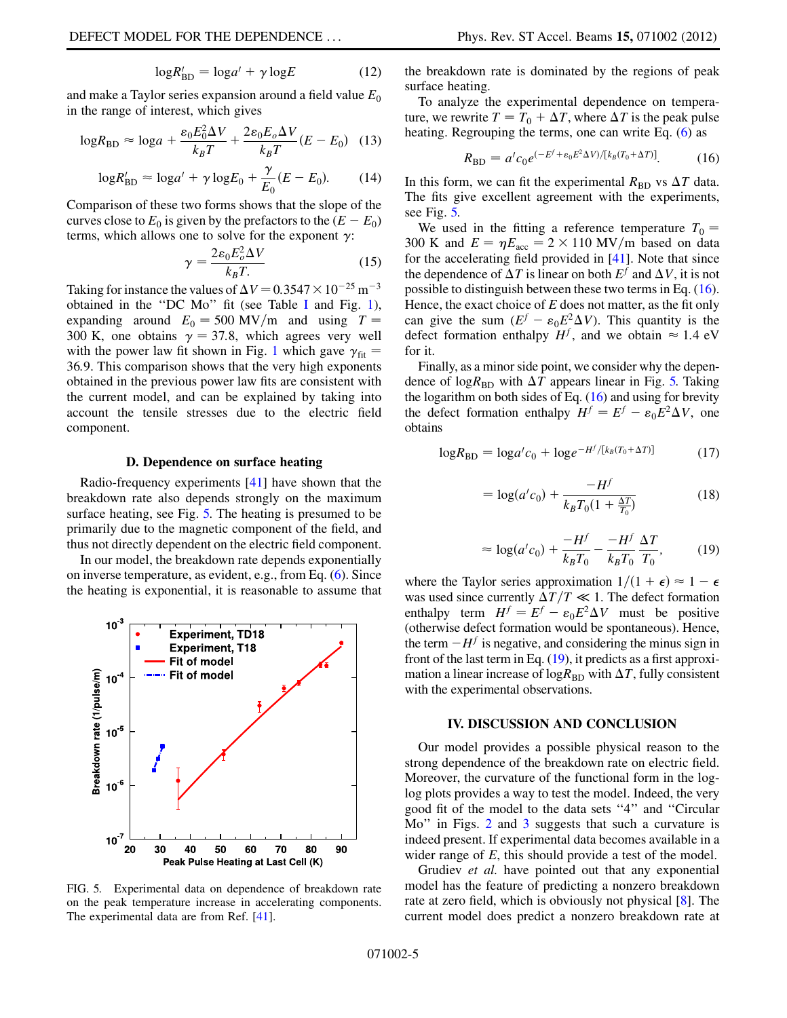$$
\log R'_{\rm BD} = \log a' + \gamma \log E \tag{12}
$$

and make a Taylor series expansion around a field value  $E_0$ in the range of interest, which gives

$$
\log R_{\rm BD} \approx \log a + \frac{\varepsilon_0 E_0^2 \Delta V}{k_B T} + \frac{2\varepsilon_0 E_o \Delta V}{k_B T} (E - E_0) \quad (13)
$$

$$
\log R'_{\rm BD} \approx \log a' + \gamma \log E_0 + \frac{\gamma}{E_0} (E - E_0). \tag{14}
$$

Comparison of these two forms shows that the slope of the curves close to  $E_0$  is given by the prefactors to the  $(E - E_0)$ <br>terms, which allows one to solve for the exponent  $\alpha$ . terms, which allows one to solve for the exponent  $\gamma$ :

$$
\gamma = \frac{2\varepsilon_0 E_o^2 \Delta V}{k_B T} \tag{15}
$$

Taking for instance the values of  $\Delta V = 0.3547 \times 10^{-25}$  m<sup>-3</sup><br>obtained in the "DC Mo" fit (see Table L and Fig. 1) obtained in the ''DC Mo'' fit (see Table [I](#page-3-2) and Fig. [1\)](#page-2-0), expanding around  $E_0 = 500 \text{ MV/m}$  and using  $T =$ 300 K, one obtains  $\gamma = 37.8$ , which agrees very well with the power law fit shown in Fig. [1](#page-2-0) which gave  $\gamma_{\text{fit}} =$ 36:9. This comparison shows that the very high exponents obtained in the previous power law fits are consistent with the current model, and can be explained by taking into account the tensile stresses due to the electric field component.

#### D. Dependence on surface heating

<span id="page-4-3"></span>Radio-frequency experiments [\[41\]](#page-6-29) have shown that the breakdown rate also depends strongly on the maximum surface heating, see Fig. [5.](#page-4-0) The heating is presumed to be primarily due to the magnetic component of the field, and thus not directly dependent on the electric field component.

In our model, the breakdown rate depends exponentially on inverse temperature, as evident, e.g., from Eq. [\(6](#page-1-1)). Since the heating is exponential, it is reasonable to assume that

<span id="page-4-0"></span>

FIG. 5. Experimental data on dependence of breakdown rate on the peak temperature increase in accelerating components. The experimental data are from Ref. [[41](#page-6-29)].

the breakdown rate is dominated by the regions of peak surface heating.

<span id="page-4-1"></span>To analyze the experimental dependence on temperature, we rewrite  $T = T_0 + \Delta T$ , where  $\Delta T$  is the peak pulse heating. Regrouping the terms, one can write Eq. ([6](#page-1-1)) as

$$
R_{\rm BD} = a' c_0 e^{(-E^f + \varepsilon_0 E^2 \Delta V) / [k_B (T_0 + \Delta T)]}.
$$
 (16)

In this form, we can fit the experimental  $R_{BD}$  vs  $\Delta T$  data. The fits give excellent agreement with the experiments, see Fig. [5.](#page-4-0)

We used in the fitting a reference temperature  $T_0$  = 300 K and  $E = \eta E_{\text{acc}} = 2 \times 110 \text{ MV/m}$  based on data for the accelerating field provided in [41]. Note that since for the accelerating field provided in [[41](#page-6-29)]. Note that since the dependence of  $\Delta T$  is linear on both  $E^f$  and  $\Delta V$ , it is not possible to distinguish between these two terms in Eq. ([16\)](#page-4-1). Hence, the exact choice of  $E$  does not matter, as the fit only can give the sum  $(E^f - \varepsilon_0 E^2 \Delta V)$ . This quantity is the defect formation enthalny  $H^f$  and we obtain  $\approx 1.4 \text{ eV}$ defect formation enthalpy  $H^f$ , and we obtain  $\approx 1.4$  eV for it.

Finally, as a minor side point, we consider why the dependence of log $R_{\text{BD}}$  with  $\Delta T$  appears linear in Fig. [5.](#page-4-0) Taking the logarithm on both sides of Eq.  $(16)$  $(16)$  and using for brevity the defect formation enthalpy  $H^f = E^f - \varepsilon_0 E^2 \Delta V$ , one<br>obtains obtains

<span id="page-4-2"></span>
$$
\log R_{\rm BD} = \log a' c_0 + \log e^{-H^f/[k_B(T_0 + \Delta T)]} \tag{17}
$$

$$
= \log(a'c_0) + \frac{-H^f}{k_B T_0 (1 + \frac{\Delta T}{T_0})}
$$
(18)

$$
\approx \log(a'c_0) + \frac{-H^f}{k_B T_0} - \frac{-H^f}{k_B T_0} \frac{\Delta T}{T_0},\tag{19}
$$

where the Taylor series approximation  $1/(1+\epsilon) \approx 1 - \epsilon$ <br>was used since currently  $\Delta T/T \ll 1$ . The defect formation was used since currently  $\Delta T/T \ll 1$ . The defect formation enthalpy term  $H^f = E^f - \varepsilon_0 E^2 \Delta V$  must be positive<br>(otherwise defect formation would be spontaneous). Hence (otherwise defect formation would be spontaneous). Hence, the term  $-H<sup>f</sup>$  is negative, and considering the minus sign in front of the last term in Eq. [\(19\)](#page-4-2), it predicts as a first approximation a linear increase of log $R_{\rm BD}$  with  $\Delta T$ , fully consistent with the experimental observations.

### IV. DISCUSSION AND CONCLUSION

Our model provides a possible physical reason to the strong dependence of the breakdown rate on electric field. Moreover, the curvature of the functional form in the loglog plots provides a way to test the model. Indeed, the very good fit of the model to the data sets ''4'' and ''Circular Mo" in Figs. [2](#page-2-1) and [3](#page-3-3) suggests that such a curvature is indeed present. If experimental data becomes available in a wider range of E, this should provide a test of the model.

Grudiev et al. have pointed out that any exponential model has the feature of predicting a nonzero breakdown rate at zero field, which is obviously not physical [\[8\]](#page-5-5). The current model does predict a nonzero breakdown rate at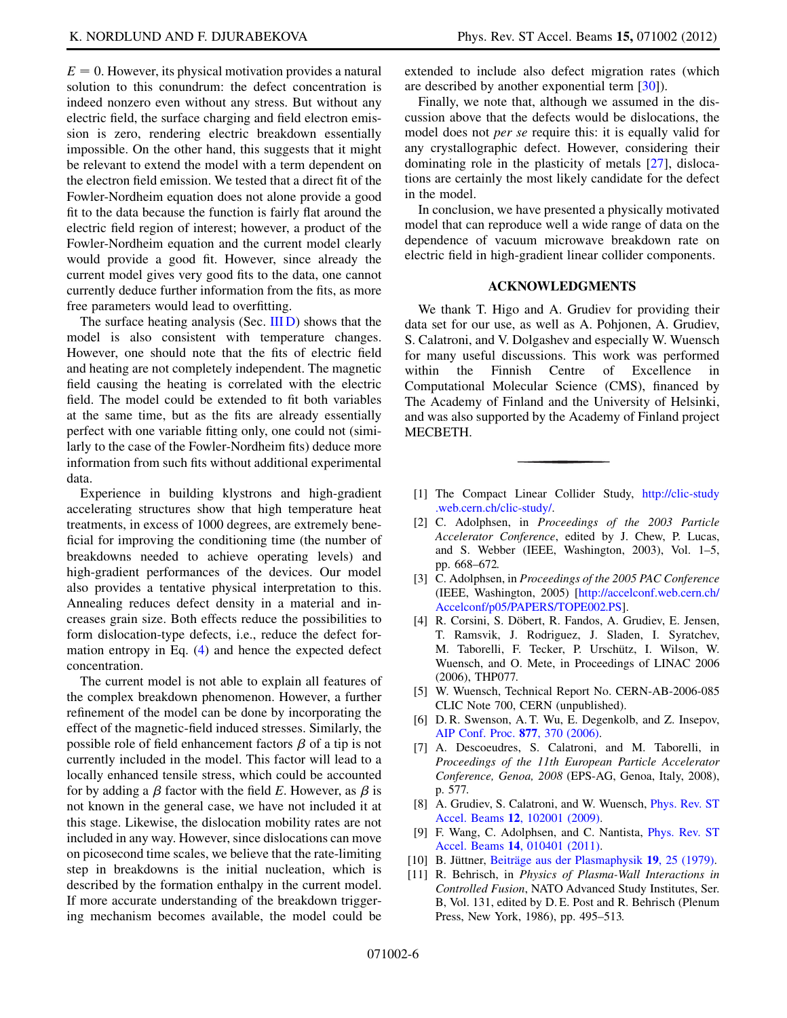$E = 0$ . However, its physical motivation provides a natural solution to this conundrum: the defect concentration is indeed nonzero even without any stress. But without any electric field, the surface charging and field electron emission is zero, rendering electric breakdown essentially impossible. On the other hand, this suggests that it might be relevant to extend the model with a term dependent on the electron field emission. We tested that a direct fit of the Fowler-Nordheim equation does not alone provide a good fit to the data because the function is fairly flat around the electric field region of interest; however, a product of the Fowler-Nordheim equation and the current model clearly would provide a good fit. However, since already the current model gives very good fits to the data, one cannot currently deduce further information from the fits, as more free parameters would lead to overfitting.

The surface heating analysis (Sec. [III D\)](#page-4-3) shows that the model is also consistent with temperature changes. However, one should note that the fits of electric field and heating are not completely independent. The magnetic field causing the heating is correlated with the electric field. The model could be extended to fit both variables at the same time, but as the fits are already essentially perfect with one variable fitting only, one could not (similarly to the case of the Fowler-Nordheim fits) deduce more information from such fits without additional experimental data.

Experience in building klystrons and high-gradient accelerating structures show that high temperature heat treatments, in excess of 1000 degrees, are extremely beneficial for improving the conditioning time (the number of breakdowns needed to achieve operating levels) and high-gradient performances of the devices. Our model also provides a tentative physical interpretation to this. Annealing reduces defect density in a material and increases grain size. Both effects reduce the possibilities to form dislocation-type defects, i.e., reduce the defect formation entropy in Eq. [\(4](#page-1-4)) and hence the expected defect concentration.

The current model is not able to explain all features of the complex breakdown phenomenon. However, a further refinement of the model can be done by incorporating the effect of the magnetic-field induced stresses. Similarly, the possible role of field enhancement factors  $\beta$  of a tip is not currently included in the model. This factor will lead to a locally enhanced tensile stress, which could be accounted for by adding a  $\beta$  factor with the field E. However, as  $\beta$  is not known in the general case, we have not included it at this stage. Likewise, the dislocation mobility rates are not included in any way. However, since dislocations can move on picosecond time scales, we believe that the rate-limiting step in breakdowns is the initial nucleation, which is described by the formation enthalpy in the current model. If more accurate understanding of the breakdown triggering mechanism becomes available, the model could be extended to include also defect migration rates (which are described by another exponential term [[30](#page-6-30)]).

Finally, we note that, although we assumed in the discussion above that the defects would be dislocations, the model does not per se require this: it is equally valid for any crystallographic defect. However, considering their dominating role in the plasticity of metals [\[27\]](#page-6-15), dislocations are certainly the most likely candidate for the defect in the model.

In conclusion, we have presented a physically motivated model that can reproduce well a wide range of data on the dependence of vacuum microwave breakdown rate on electric field in high-gradient linear collider components.

## ACKNOWLEDGMENTS

We thank T. Higo and A. Grudiev for providing their data set for our use, as well as A. Pohjonen, A. Grudiev, S. Calatroni, and V. Dolgashev and especially W. Wuensch for many useful discussions. This work was performed within the Finnish Centre of Excellence in Computational Molecular Science (CMS), financed by The Academy of Finland and the University of Helsinki, and was also supported by the Academy of Finland project MECBETH.

- <span id="page-5-0"></span>[1] The Compact Linear Collider Study, [http://clic-study](http://clic-study.web.cern.ch/clic-study/) [.web.cern.ch/clic-study/.](http://clic-study.web.cern.ch/clic-study/)
- <span id="page-5-4"></span>[2] C. Adolphsen, in Proceedings of the 2003 Particle Accelerator Conference, edited by J. Chew, P. Lucas, and S. Webber (IEEE, Washington, 2003), Vol. 1–5, pp. 668–672.
- [3] C. Adolphsen, in Proceedings of the 2005 PAC Conference (IEEE, Washington, 2005) [\[http://accelconf.web.cern.ch/](http://accelconf.web.cern.ch/Accelconf/p05/PAPERS/TOPE002.PS) [Accelconf/p05/PAPERS/TOPE002.PS\]](http://accelconf.web.cern.ch/Accelconf/p05/PAPERS/TOPE002.PS).
- <span id="page-5-6"></span>[4] R. Corsini, S. Döbert, R. Fandos, A. Grudiev, E. Jensen, T. Ramsvik, J. Rodriguez, J. Sladen, I. Syratchev, M. Taborelli, F. Tecker, P. Urschütz, I. Wilson, W. Wuensch, and O. Mete, in Proceedings of LINAC 2006 (2006), THP077.
- [5] W. Wuensch, Technical Report No. CERN-AB-2006-085 CLIC Note 700, CERN (unpublished).
- [6] D. R. Swenson, A. T. Wu, E. Degenkolb, and Z. Insepov, [AIP Conf. Proc.](http://dx.doi.org/10.1063/1.2409158) 877, 370 (2006).
- <span id="page-5-7"></span>[7] A. Descoeudres, S. Calatroni, and M. Taborelli, in Proceedings of the 11th European Particle Accelerator Conference, Genoa, 2008 (EPS-AG, Genoa, Italy, 2008), p. 577.
- <span id="page-5-5"></span>[8] A. Grudiev, S. Calatroni, and W. Wuensch, *[Phys. Rev. ST](http://dx.doi.org/10.1103/PhysRevSTAB.12.102001)* Accel. Beams 12[, 102001 \(2009\).](http://dx.doi.org/10.1103/PhysRevSTAB.12.102001)
- <span id="page-5-1"></span>[9] F. Wang, C. Adolphsen, and C. Nantista, [Phys. Rev. ST](http://dx.doi.org/10.1103/PhysRevSTAB.14.010401) Accel. Beams 14[, 010401 \(2011\).](http://dx.doi.org/10.1103/PhysRevSTAB.14.010401)
- <span id="page-5-3"></span><span id="page-5-2"></span>[10] B. Jüttner, Beiträge aus der Plasmaphysik 19, 25 (1979).
- [11] R. Behrisch, in Physics of Plasma-Wall Interactions in Controlled Fusion, NATO Advanced Study Institutes, Ser. B, Vol. 131, edited by D. E. Post and R. Behrisch (Plenum Press, New York, 1986), pp. 495–513.